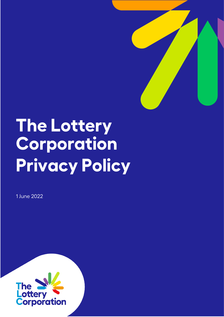

# **The Lottery Corporation Privacy Policy**

1 June 2022

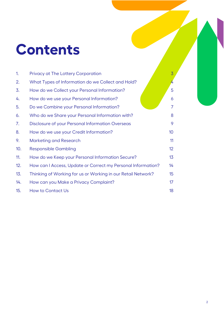### **Contents**

| 1.  | Privacy at The Lottery Corporation                           | 3              |
|-----|--------------------------------------------------------------|----------------|
| 2.  | What Types of Information do we Collect and Hold?            | 4              |
| 3.  | How do we Collect your Personal Information?                 | 5              |
| 4.  | How do we use your Personal Information?                     | 6              |
| 5.  | Do we Combine your Personal Information?                     | $\overline{7}$ |
| 6.  | Who do we Share your Personal Information with?              | 8              |
| 7.  | Disclosure of your Personal Information Overseas             | 9              |
| 8.  | How do we use your Credit Information?                       | 10             |
| 9.  | <b>Marketing and Research</b>                                | 11             |
| 10. | <b>Responsible Gambling</b>                                  | 12             |
| 11. | How do we Keep your Personal Information Secure?             | 13             |
| 12. | How can I Access, Update or Correct my Personal Information? |                |
| 13. | Thinking of Working for us or Working in our Retail Network? | 15             |
| 14. | How can you Make a Privacy Complaint?                        | 17             |
| 15. | <b>How to Contact Us</b>                                     | 18             |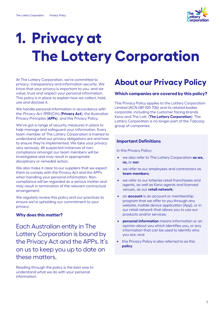

### <span id="page-2-0"></span>**1. Privacy at The Lottery Corporation**

At The Lottery Corporation, we're committed to privacy, transparency and information security. We know that your privacy is important to you, and we value, trust and respect your personal information. This policy is in place to explain how we collect, hold, use and disclose it.

We handle personal information in accordance with the Privacy Act 1998 (Cth) (**Privacy Act**), the Australian Privacy Principles (**APPs**), and this Privacy Policy.

We've got a range of security measures in place to help manage and safeguard your information. Every team member of The Lottery Corporation is trained to understand what our privacy obligations are and how to ensure they're implemented. We take your privacy very seriously. All suspected instances of noncompliance amongst our team members will be investigated and may result in appropriate disciplinary or remedial action.

We also make it clear to our suppliers that we expect them to comply with the Privacy Act and the APPs when handling your personal information. Noncompliance will be regarded as a serious matter and may result in termination of the relevant contractual arrangement.

We regularly review this policy and our practices to ensure we're upholding our commitment to your privacy.

#### **Why does this matter?**

Each Australian entity in The Lottery Corporation is bound by the Privacy Act and the APPs. It's on us to keep you up to date on these matters.

Reading through the policy is the best way to understand what we do with your personal information.

### **About our Privacy Policy**

#### **Which companies are covered by this policy?**

This Privacy Policy applies to the Lottery Corporation Limited (ACN 081 925 706) and its related bodies corporate, including the customer facing brands Keno and The Lott, (**The Lottery Corporation**). The Lottery Corporation is no longer part of the Tabcorp group of companies.

#### **Important Definitions**

In this Privacy Policy:

- we also refer to The Lottery Corporation **as we, us,** or **our**;
- we refer to our employees and contractors as **team members**;
- we refer to our lotteries retail franchisees and agents, as well as Keno agents and licensed venues, as our **retail network**;
- an **account** is an account or membership program that we offer to you through any website, mobile device application (App), or in our retail network that allows you to use our products and/or services;
- **personal information** means information or an opinion about you which identifies you, or any information that can be used to identify who you are; and
- this Privacy Policy is also referred to as this **policy**.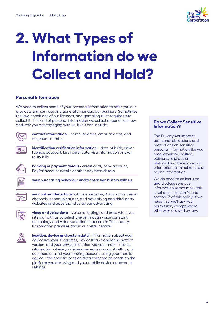

## <span id="page-3-0"></span>**2. What Types of Information do we Collect and Hold?**

#### **Personal Information**

We need to collect some of your personal information to offer you our products and services and generally manage our business. Sometimes, the law, conditions of our licences, and gambling rules require us to collect it. The kind of personal information we collect depends on how and why you are engaging with us, but it can include:



四話

**contact information** – name, address, email address, and telephone number

**identification verification information** – date of birth, driver licence, passport, birth certificate, visa information and/or utility bills



**banking or payment details** - credit card, bank account, PayPal account details or other payment details



**your purchasing behaviour and transaction history with us**



**your online interactions** with our websites, Apps, social media channels, communications, and advertising and third-party websites and apps that display our advertising



**video and voice data** – voice recordings and data when you interact with us by telephone or through voice assistant technology and video surveillance at certain The Lottery Corporation premises and in our retail network



**location, device and system data** – information about your device like your IP address, device ID and operating system version, and your physical location via your mobile device information where you have opened an account with us, or accessed or used your existing account, using your mobile device – the specific location data collected depends on the platform you are using and your mobile device or account settings

#### **Do we Collect Sensitive Information?**

The Privacy Act imposes additional obligations and protections on sensitive personal information like your race, ethnicity, political opinions, religious or philosophical beliefs, sexual orientation, criminal record or health information.

We do need to collect, use and disclose sensitive information sometimes - this is set out in section [10](#page-11-0) and sectio[n 13](#page-14-0) of this policy. If we need this, we'll ask your permission, except where otherwise allowed by law.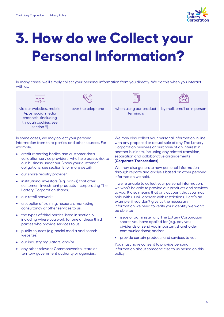

### <span id="page-4-0"></span>**3. How do we Collect your Personal Information?**

In many cases, we'll simply collect your personal information from you directly. We do this when you interact with us.



over the telephone when using our product terminals



by mail, email or in person

via our websites, mobile Apps, social media channels, (including through cookies, see section [9\)](#page-10-0)

In some cases, we may collect your personal information from third parties and other sources. For example:

- credit reporting bodies and customer data validation service providers, who help assess risk to our business under our "know your customer" obligations, see sectio[n 8](#page-9-0) for more detail;
- our share registry provider;
- institutional investors (e.g. banks) that offer customers investment products incorporating The Lottery Corporation shares;
- our retail network;
- a supplier of training, research, marketing consultancy or other services to us;
- the types of third parties listed in section [6,](#page-7-0) including where you work for one of these third parties who provide services to us;
- public sources (e.g. social media and search websites);
- our industry regulators; and/or
- any other relevant Commonwealth, state or territory government authority or agencies.

We may also collect your personal information in line with any proposed or actual sale of any The Lottery Corporation business or purchase of an interest in another business, including any related transition, separation and collaborative arrangements (**Corporate Transactions**).

We may also generate new personal information through reports and analysis based on other personal information we hold.

If we're unable to collect your personal information, we won't be able to provide our products and services to you. It also means that any account that you may hold with us will operate with restrictions. Here's an example: if you don't give us the necessary information we need to verify your identity we won't be able to:

- issue or administer any The Lottery Corporation shares you have applied for (e.g. pay you dividends or send you important shareholder communications); and/or
- provide certain products and services to you.

You must have consent to provide personal information about someone else to us based on this policy .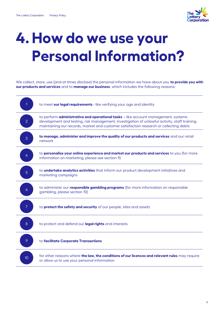

### <span id="page-5-0"></span>**4. How do we use your Personal Information?**

We collect, store, use (and at times disclose) the personal information we have about you **to provide you with our products and services** and to **manage our business**, which includes the following reasons:

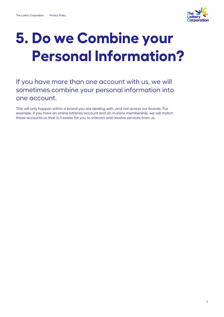

### <span id="page-6-0"></span>**5. Do we Combine your Personal Information?**

### If you have more than one account with us, we will sometimes combine your personal information into one account.

This will only happen within a brand you are dealing with, and not across our brands. For example, if you have an online lotteries account and an in-store membership, we will match those accounts so that is it easier for you to interact and receive services from us.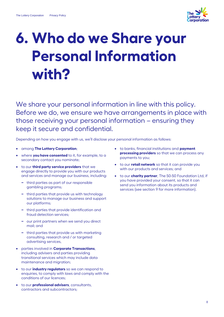

### <span id="page-7-0"></span>**6. Who do we Share your Personal Information with?**

We share your personal information in line with this policy. Before we do, we ensure we have arrangements in place with those receiving your personal information – ensuring they keep it secure and confidential.

Depending on how you engage with us, we'll disclose your personal information as follows:

- among **The Lottery Corporation**;
- where **you have consented** to it, for example, to a secondary contact you nominate;
- to our **third party service providers** that we engage directly to provide you with our products and services and manage our business, including:
	- **−** third parties as part of our responsible gambling programs;
	- **−** third parties that provide us with technology solutions to manage our business and support our platforms;
	- **−** third parties that provide identification and fraud detection services;
	- **−** our print partners when we send you direct mail; and
	- **−** third parties that provide us with marketing consulting, research and / or targeted advertising services,
- parties involved in **Corporate Transactions**, including advisers and parties providing transitional services which may include data maintenance and migration;
- to our **industry regulators** so we can respond to enquiries, to comply with laws and comply with the conditions of our licences;
- to our **professional advisers**, consultants, contractors and subcontractors;
- to banks, financial institutions and **payment processing providers** so that we can process any payments to you;
- to our **retail network** so that it can provide you with our products and services; and
- to our **charity partner**, The 50-50 Foundation Ltd, if you have provided your consent, so that it can send you information about its products and services (see section [9](#page-10-0) for more information).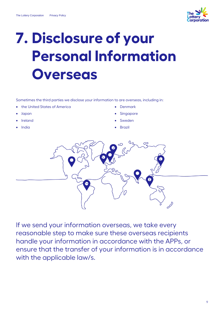

### <span id="page-8-0"></span>**7. Disclosure of your Personal Information Overseas**

Sometimes the third parties we disclose your information to are overseas, including in:

- the United States of America
- Japan
- **Ireland**
- India
- Denmark
- **Singapore**
- **Sweden**
- **Brazil**



If we send your information overseas, we take every reasonable step to make sure these overseas recipients handle your information in accordance with the APPs, or ensure that the transfer of your information is in accordance with the applicable law/s.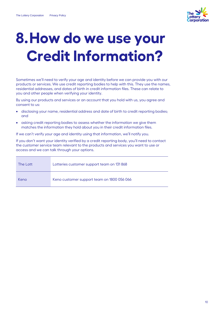

### <span id="page-9-0"></span>**8.How do we use your Credit Information?**

Sometimes we'll need to verify your age and identity before we can provide you with our products or services. We use credit reporting bodies to help with this. They use the names, residential addresses, and dates of birth in credit information files. These can relate to you and other people when verifying your identity.

By using our products and services or an account that you hold with us, you agree and consent to us:

- disclosing your name, residential address and date of birth to credit reporting bodies; and
- asking credit reporting bodies to assess whether the information we give them matches the information they hold about you in their credit information files.

If we can't verify your age and identity using that information, we'll notify you.

If you don't want your identity verified by a credit reporting body, you'll need to contact the customer service team relevant to the products and services you want to use or access and we can talk through your options.

| The Lott | Lotteries customer support team on 131 868 |
|----------|--------------------------------------------|
| Keno     | Keno customer support team on 1800 056 066 |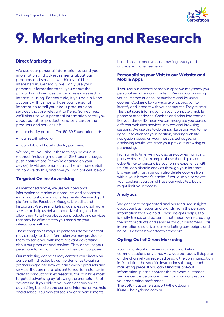

### <span id="page-10-0"></span>**9. Marketing and Research**

#### **Direct Marketing**

We use your personal information to send you information and advertisements about our products and services we think you'd be interested in. Generally, we'll only use your personal information to tell you about the products and services that you've expressed an interest in using. For example, if you hold a Keno account with us, we will use your personal information to tell you about products and services that are relevant to Keno. Sometimes, we'll also use your personal information to tell you about our other products and services, or the products and services of:

- our charity partner, The 50-50 Foundation Ltd:
- our retail network;
- our club and hotel industry partners.

We may tell you about these things by various methods including mail, email, SMS text message, push notifications (if they're enabled on your device), MMS and phone calls. There's more detail on how we do this, and how you can opt-out, below.

#### **Targeted Online Advertising**

As mentioned above, we use your personal information to market our products and services to you - and to show you advertisements. We use digital platforms like Facebook, Google, LinkedIn, and Instagram. We use marketing agencies and software services to help us deliver that advertising, and to allow them to tell you about our products and services that may be of interest to you based on your interactions with us.

These companies may use personal information that they already hold, or information we may provide to them, to serve you with more relevant advertising about our products and services. They don't use your personal information from us for their own purposes.

Our marketing agencies may contact you directly on our behalf if directed by us in order for us to gain a greater insight into how we can develop products and services that are more relevant to you, for instance, in order to conduct market research. You can hide most targeted advertising by following the prompts in that advertising. If you hide it, you won't get any online advertising based on the personal information we hold and disclose. You may still see similar advertisements

based on your anonymous browsing history and untargeted advertisements.

#### **Personalising your Visit to our Website and Mobile Apps**

If you use our website or mobile Apps we may show you personalised offers and content. We can do this using your customer or account numbers and by using cookies. Cookies allow a website or application to identify and interact with your computer. They're small files that store information on your computer, mobile phone or other device. Cookies and other information like your device ID mean we can recognise you across different websites, services, devices and browsing sessions. We use this to do things like assign you to the right jurisdiction for your location, altering website navigation based on your most visited pages, or displaying results, etc. from your previous browsing or purchasing.

From time to time we may also use cookies from third party websites (for example, those that display our advertising) to personalise your online experience with us. You can disable cookies through your internet browser settings. You can also delete cookies from within your browser's cache. If you disable or delete your cookies, you can still use our websites, but it might limit your access.

#### **Analytics**

We generate aggregated and personalised insights about our businesses and brands from the personal information that we hold. These insights help us to identify trends and patterns that mean we're creating the right products and services for our customers. This information also drives our marketing campaigns and helps us assess how effective they are.

#### **Opting-Out of Direct Marketing**

You can opt-out of receiving direct marketing communications any time. How you opt-out will depend on the channel you received or saw the communication in. You'll find the specific instructions through each marketing piece. If you can't find this opt-out information, please contact the relevant customer service centre below and they can manually record your marketing preference.

**The Lott** – customersupport@thelott.com **Keno** – help@keno.com.au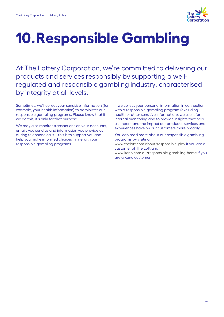

### <span id="page-11-0"></span>**10.Responsible Gambling**

At The Lottery Corporation, we're committed to delivering our products and services responsibly by supporting a wellregulated and responsible gambling industry, characterised by integrity at all levels.

Sometimes, we'll collect your sensitive information (for example, your health information) to administer our responsible gambling programs. Please know that if we do this, it's only for that purpose.

We may also monitor transactions on your accounts, emails you send us and information you provide us during telephone calls – this is to support you and help you make informed choices in line with our responsible gambling programs.

If we collect your personal information in connection with a responsible gambling program (excluding health or other sensitive information), we use it for internal monitoring and to provide insights that help us understand the impact our products, services and experiences have on our customers more broadly.

You can read more about our responsible gambling programs by visiting [www.thelott.com.about/responsible-play](http://www.thelott.com.about/responsible-play) if you are a customer of The Lott and [www.keno.com.au/responsible-gambling-home](http://www.keno.com.au/responsible-gambling-home) if you are a Keno customer.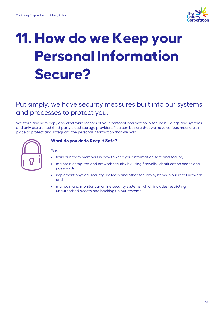

### <span id="page-12-0"></span>**11. How do we Keep your Personal Information Secure?**

### Put simply, we have security measures built into our systems and processes to protect you.

We store any hard copy and electronic records of your personal information in secure buildings and systems and only use trusted third-party cloud storage providers. You can be sure that we have various measures in place to protect and safeguard the personal information that we hold.



We:

#### **What do you do to Keep it Safe?**

- train our team members in how to keep your information safe and secure;
- maintain computer and network security by using firewalls, identification codes and passwords;
- implement physical security like locks and other security systems in our retail network; and
- maintain and monitor our online security systems, which includes restricting unauthorised access and backing up our systems.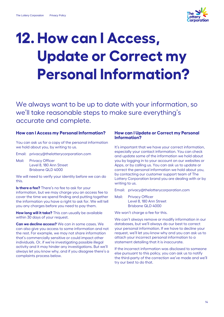

## <span id="page-13-0"></span>**12. How can I Access, Update or Correct my Personal Information?**

We always want to be up to date with your information, so we'll take reasonable steps to make sure everything's accurate and complete.

#### **How can I Access my Personal Information?**

You can ask us for a copy of the personal information we hold about you, by writing to us.

Email: privacy@thelotterycorporation.com

Mail: Privacy Officer Level 8, 180 Ann Street Brisbane QLD 4000

We will need to verify your identity before we can do this.

**Is there a fee?** There's no fee to ask for your information, but we may charge you an access fee to cover the time we spend finding and putting together the information you have a right to ask for. We will tell you any charges before you need to pay them.

**How long will it take?** This can usually be available within 30 days of your request.

**Can we decline access?** We can in some cases. We can also give you access to some information and not the rest. For example, we may not share information that's commercially sensitive or could impact other individuals. Or, if we're investigating possible illegal activity and it may hinder any investigations. But we'll always let you know why, and if you disagree there's a complaints process below.

#### **How can I Update or Correct my Personal Information?**

It's important that we have your correct information, especially your contact information. You can check and update some of the information we hold about you by logging in to your account on our websites or Apps, or by calling us. You can ask us to update or correct the personal information we hold about you, by contacting our customer support team of The Lottery Corporation brand you are dealing with or by writing to us.

Email: privacy@thelotterycorporation.com

Mail: Privacy Officer Level 8, 180 Ann Street Brisbane QLD 4000

We won't charge a fee for this.

We can't always remove or modify information in our databases, but we'll always do our best to correct your personal information. If we have to decline your request, we'll let you know why and you can ask us to attach your incorrect personal information to a statement detailing that it is inaccurate.

If the incorrect information was disclosed to someone else pursuant to this policy, you can ask us to notify the third-party of the correction we've made and we'll try our best to do that.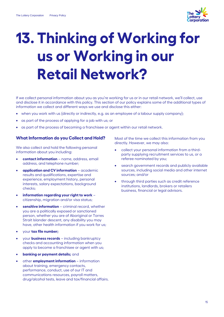

## <span id="page-14-0"></span>**13. Thinking of Working for us or Working in our Retail Network?**

If we collect personal information about you as you're working for us or in our retail network, we'll collect, use and disclose it in accordance with this policy. This section of our policy explains some of the additional types of information we collect and different ways we use and disclose this either:

- when you work with us (directly or indirectly, e.g. as an employee of a labour supply company);
- as part of the process of applying for a job with us; or
- as part of the process of becoming a franchisee or agent within our retail network.

#### **What Information do you Collect and Hold?**

We also collect and hold the following personal information about you including:

- **contact information** name, address, email address, and telephone number;
- **application and CV information** academic results and qualifications, expertise and experience, employment history, personal interests, salary expectations, background checks;
- **information regarding your right to work** citizenship, migration and/or visa status;
- sensitive information criminal record, whether you are a politically exposed or sanctioned person, whether you are of Aboriginal or Torres Strait Islander descent, any disability you may have, other health information if you work for us;
- your **tax file number;**
- your **business records** including bankruptcy checks and accounting information when you apply to become a franchisee or agent with us;
- **banking or payment details;** and
- other **employment information** information about training, emergency contacts, performance, conduct, use of our IT and communications resources, payroll matters, drug/alcohol tests, leave and tax/financial affairs.

Most of the time we collect this information from you directly. However, we may also:

- collect your personal information from a thirdparty supplying recruitment services to us, or a referee nominated by you;
- search government records and publicly available sources, including social media and other internet sources; and/or
- through third parties such as credit reference institutions, landlords, brokers or retailers business, financial or legal advisors.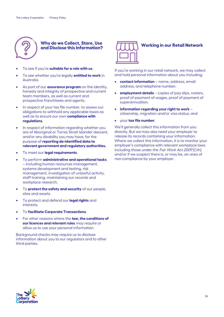

#### **Why do we Collect, Store, Use and Disclose this Information?**

- To see if you're **suitable for a role with us**.
- To see whether you're legally **entitled to work** in Australia.
- As part of our **assurance program** on the identity, honesty and integrity of prospective and current team members, as well as current and prospective franchisees and agents.
- In respect of your tax file number, to assess our obligations to withhold any applicable taxes as well as to ensure our own **compliance with regulations**.
- In respect of information regarding whether you are of Aboriginal or Torres Strait Islander descent, and/or any disability you may have, for the purpose of **reporting de-identified data to relevant government and regulatory authorities.**
- To meet our **legal requirements**.
- To perform **administrative and operational tasks** – including human resources management, systems development and testing, risk management, investigation of unlawful activity, staff training, maintaining our records and workplace research.
- To **protect the safety and security** of our people, sites and assets.
- To protect and defend our **legal rights** and interests.
- To **facilitate Corporate Transactions**.
- For other reasons where the **law, the conditions of our licences and relevant rules** may require or allow us to use your personal information.

Background checks may require us to disclose information about you to our regulators and to other third-parties.



#### **Working in our Retail Network**

If you're working in our retail network, we may collect and hold personal information about you including:

- **contact information** name, address, email address, and telephone number;
- **employment details** copies of pay slips, rosters, proof of payment of wages, proof of payment of superannuation;
- **information regarding your right to work** citizenship, migration and/or visa status; and
- your **tax file number**.

We'll generally collect this information from you directly. But we may also need your employer to release its records containing your information. Where we collect this information, it is to monitor your employer's compliance with relevant workplace laws including those under the Fair Work Act 2009 (Cth) and/or if we suspect there is, or may be, an area of non-compliance by your employer.

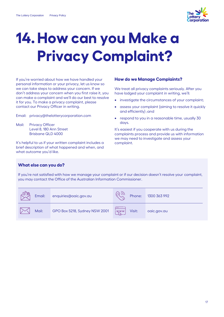

### <span id="page-16-0"></span>**14.How can you Make a Privacy Complaint?**

If you're worried about how we have handled your personal information or your privacy, let us know so we can take steps to address your concern. If we don't address your concern when you first raise it, you can make a complaint and we'll do our best to resolve it for you. To make a privacy complaint, please contact our Privacy Officer in writing.

Email: privacy@thelotterycorporation.com

Mail: Privacy Officer Level 8, 180 Ann Street Brisbane QLD 4000

It's helpful to us if your written complaint includes a brief description of what happened and when, and what outcome you'd like.

#### **How do we Manage Complaints?**

We treat all privacy complaints seriously. After you have lodged your complaint in writing, we'll:

- investigate the circumstances of your complaint;
- assess your complaint (aiming to resolve it quickly and efficiently) ;and
- respond to you in a reasonable time, usually 30 days.

It's easiest if you cooperate with us during the complaints process and provide us with information we may need to investigate and assess your complaint.

#### **What else can you do?**

If you're not satisfied with how we manage your complaint or if our decision doesn't resolve your complaint, you may contact the Office of the Australian Information Commissioner.

| Email: | enquiries@oaic.gov.au         | Phone:         | 1300 363 992 |
|--------|-------------------------------|----------------|--------------|
| Mail:  | GPO Box 5218, Sydney NSW 2001 | www <br>Visit: | oaic.gov.au  |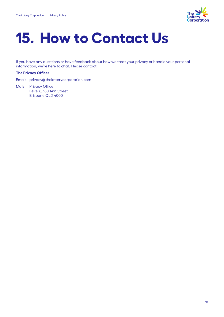

### <span id="page-17-0"></span>**15. How to Contact Us**

If you have any questions or have feedback about how we treat your privacy or handle your personal information, we're here to chat. Please contact:

#### **The Privacy Officer**

Email: privacy@thelotterycorporation.com

Mail: Privacy Officer Level 8, 180 Ann Street Brisbane QLD 4000